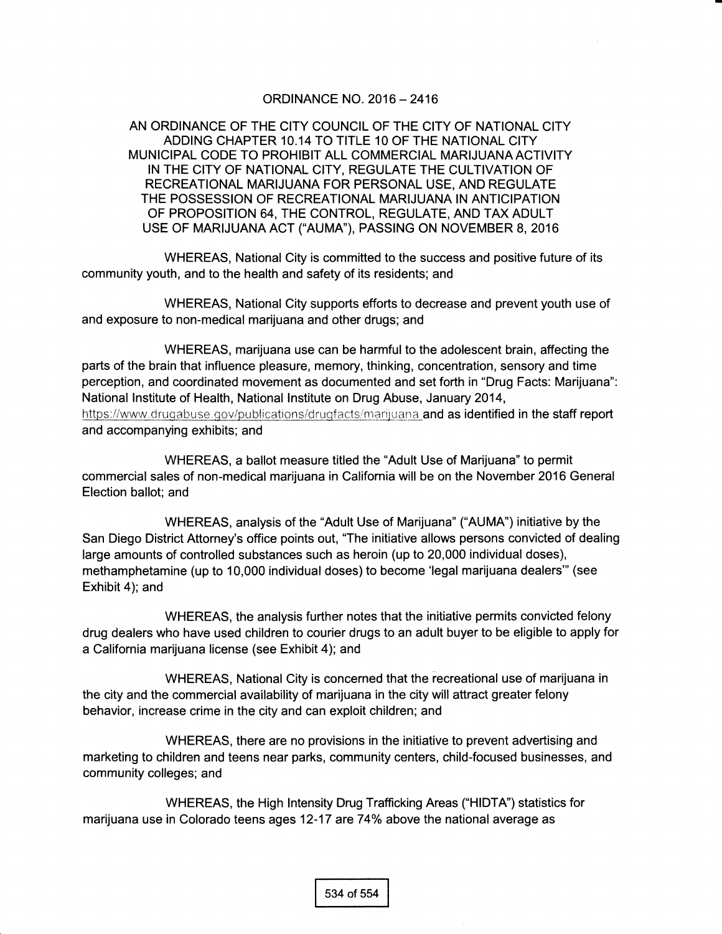### oRDINANCE NO. 2016 - 2416

AN ORDINANCE OF THE CITY COUNCIL OF THE CITY OF NATIONAL CITY ADDING CHAPTER 10.14 TO TITLE 1O OF THE NATIONAL CITY MUNICIPAL CODE TO PROHIBIT ALL COMMERCIAL MARIJUANA ACTIVITY IN THE CITY OF NATIONAL CITY, REGULATE THE CULTIVATION OF RECREATIONAL MARIJUANA FOR PERSONAL USE, AND REGULATE THE POSSESSION OF RECREATIONAL MARIJUANA IN ANTICIPATION OF PROPOSITION 64, THE CONTROL, REGULATE, AND TAX ADULT USE OF MARIJUANA ACT ("AUMA"), PASSING ON NOVEMBER 8, 2016

WHEREAS, National City is committed to the success and positive future of its community youth, and to the health and safety of its residents; and

WHEREAS, National City supports efforts to decrease and prevent youth use of and exposure to non-medical marijuana and other drugs; and

WHEREAS, marijuana use can be harmful to the adolescent brain, affecting the parts of the brain that influence pleasure, memory, thinking, concentration, sensory and time perception, and coordinated movement as documented and set forth in "Drug Facts: Marijuana": National lnstitute of Health, National lnstitute on Drug Abuse, January 2014, https://www.drugabuse.gov/publications/drugfacts/marijuana and as identified in the staff report and accompanying exhibits; and

WHEREAS, a ballot measure titled the "Adult Use of Marijuana" to permit commercial sales of non-medical marijuana in Califomia will be on the November 2016 General Election ballot; and

WHEREAS, analysis of the "Adult Use of Marijuana" ('AUMA') initiative by the San Diego District Attorney's office points out, "The initiative allows persons convicted of dealing large amounts of controlled substances such as heroin (up to 20,000 individual doses), methamphetamine (up to 10,000 individual doses) to become 'legal marijuana dealers'" (see Exhibit 4); and

WHEREAS, the analysis further notes that the initiative permits convicted felony drug dealers who have used children to courier drugs to an adult buyer to be eligible to apply for a California marijuana license (see Exhibit 4); and

WHEREAS, National City is concerned that the recreational use of marijuana in the city and the commercial availability of marijuana in the city will attract greater felony behavior, increase crime in the city and can exploit children; and

WHEREAS, there are no provisions in the initiative to prevent advertising and marketing to children and teens near parks, community centers, child-focused businesses, and community colleges; and

WHEREAS, the High lntensity Drug Trafficking Areas ('HIDTA') statistics for marijuana use in Colorado teens ages 12-17 are 74% above the national average as

534 of 554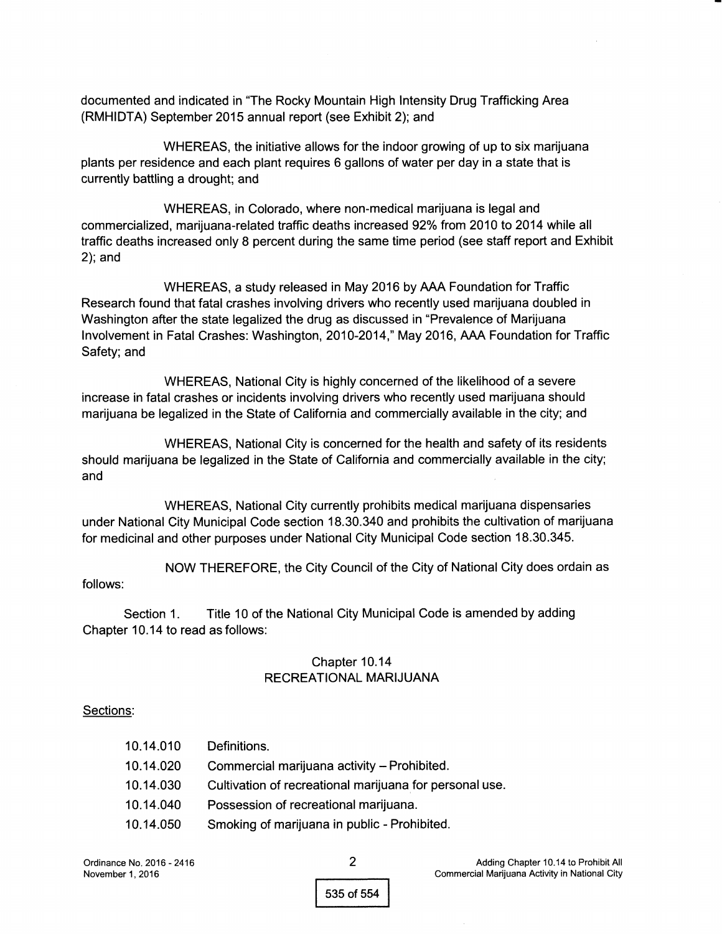documented and indicated in "The Rocky Mountain High lntensity Drug Trafficking Area (RMHIDTA) September 2015 annual report (see Exhibit 2); and

WHEREAS, the initiative allows for the indoor growing of up to six marijuana plants per residence and each plant requires 6 gallons of water per day in a state that is currently battling a drought; and

WHEREAS, in Colorado, where non-medical marijuana is legal and commercialized, marijuana-related traffic deaths increased 92% from 2010 to 2014 while all traffic deaths increased only 8 percent during the same time period (see staff report and Exhibit 2); and

WHEREAS, a study released in May 2016 by AAA Foundation for Traffic Research found that fatal crashes involving drivers who recently used marijuana doubled in Washington after the state legalized the drug as discussed in "Prevalence of Marijuana Involvement in Fatal Crashes: Washington, 2010-2014," May 2016, AAA Foundation for Traffic Safety; and

WHEREAS, National City is highly concerned of the likelihood of a severe increase in fatal crashes or incidents involving drivers who recently used marijuana should marijuana be legalized in the State of California and commercially available in the city; and

WHEREAS, National City is concerned for the health and safety of its residents should marijuana be legalized in the State of California and commercially available in the city; and

WHEREAS, National City currently prohibits medical marijuana dispensaries under National City Municipal Code section 18.30.340 and prohibits the cultivation of marijuana for medicinal and other purposes under National City Municipal Code section 18.30.345.

NOW THEREFORE, the City Council of the City of National City does ordain as follows:

Section 1. Title 10 of the National City Municipal Code is amended by adding Chapter 10.14 to read as follows:

## Chapter 10.14 RECREATIONAL MARIJUANA

## Sections:

| 10.14.010 | Definitions.                                            |
|-----------|---------------------------------------------------------|
| 10.14.020 | Commercial marijuana activity - Prohibited.             |
| 10.14.030 | Cultivation of recreational marijuana for personal use. |
| 10.14.040 | Possession of recreational marijuana.                   |
| 10.14.050 | Smoking of marijuana in public - Prohibited.            |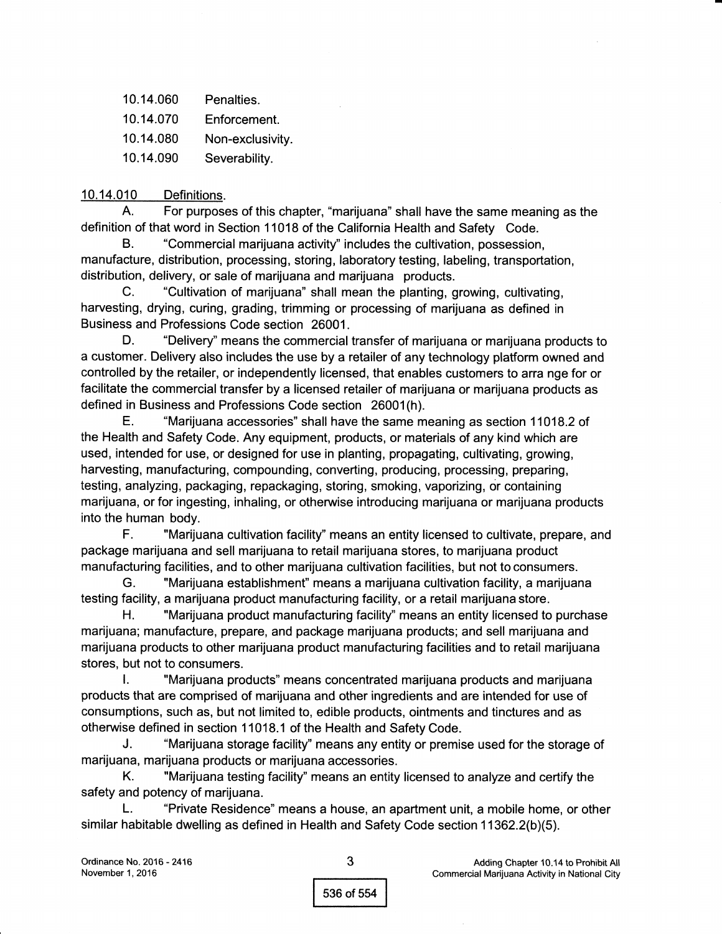- 10.14.060 Penalties.
- 10.14.070 Enforcement.
- 10.14.080 Non-exclusivity.
- 10.14.090 Severability.

# 10.14.010 Definitions.

A. For purposes of this chapter, "marijuana" shall have the same meaning as the definition of that word in Section 11018 of the California Health and Safety Code.

B. "Commercial marijuana activity" includes the cultivation, possession, manufacture, distribution, processing, storing, laboratory testing, labeling, transportation, distribution, delivery, or sale of marijuana and marijuana products.

C. "Cultivation of marijuana" shall mean the planting, growing, cultivating, harvesting, drying, curing, grading, trimming or processing of marijuana as defined in Business and Professions Code section 26001.

D. "Delivery" means the commercial transfer of marijuana or marijuana products to a customer. Delivery also includes the use by a retailer of any technology platform owned and controlled by the retailer, or independently licensed, that enables customers to arra nge for or facilitate the commercial transfer by a licensed retailer of marijuana or marijuana products as defined in Business and Professions Code section 26001(h).

E. "Marijuana accessories" shall have the same meaning as section 11018.2 of the Health and Safety Code. Any equipment, products, or materials of any kind which are used, intended for use, or designed for use in planting, propagating, cultivating, growing, harvesting, manufacturing, compounding, converting, producing, processing, preparing, testing, analyzing, packaging, repackaging, storing, smoking, vaporizing, or containing marijuana, or for ingesting, inhaling, or otherwise introducing marijuana or marijuana products into the human body.

F. "Marijuana cultivation tacility" means an entity licensed to cultivate, prepare, and package marijuana and sell marijuana to retail marijuana stores, to marijuana product manufacturing facilities, and to other marijuana cultivation facilities, but not to consumers.

G. "Marijuana establishment" means a marijuana cultivation facility, a marijuana testing facility, a marijuana product manufacturing facility, or a retail marijuana store.

H. "Marijuana product manufacturing facility" means an entity licensed to purchase marijuana; manufacture, prepare, and package marijuana products; and sell marijuana and marijuana products to other marijuana product manufacturing facilities and to retail marijuana stores, but not to consumers.

l. "Marijuana products" means concentrated marijuana products and marijuana products that are comprised of marijuana and other ingredients and are intended for use of consumptions, such as, but not limited to, edible products, ointments and tinctures and as otherwise defined in section 11018.1 of the Health and Safety Code.

J. "Marijuana storage facility'' means any entity or premise used for the storage of marijuana, marijuana products or marijuana accessories.

K. "Marijuana testing facility" means an entity licensed to analryze and certify the safety and potency of marijuana.

L. "Private Residence" means a house, an apartment unit, a mobile home, or other similar habitable dwelling as defined in Health and Safety Code section 11362.2(b)(5).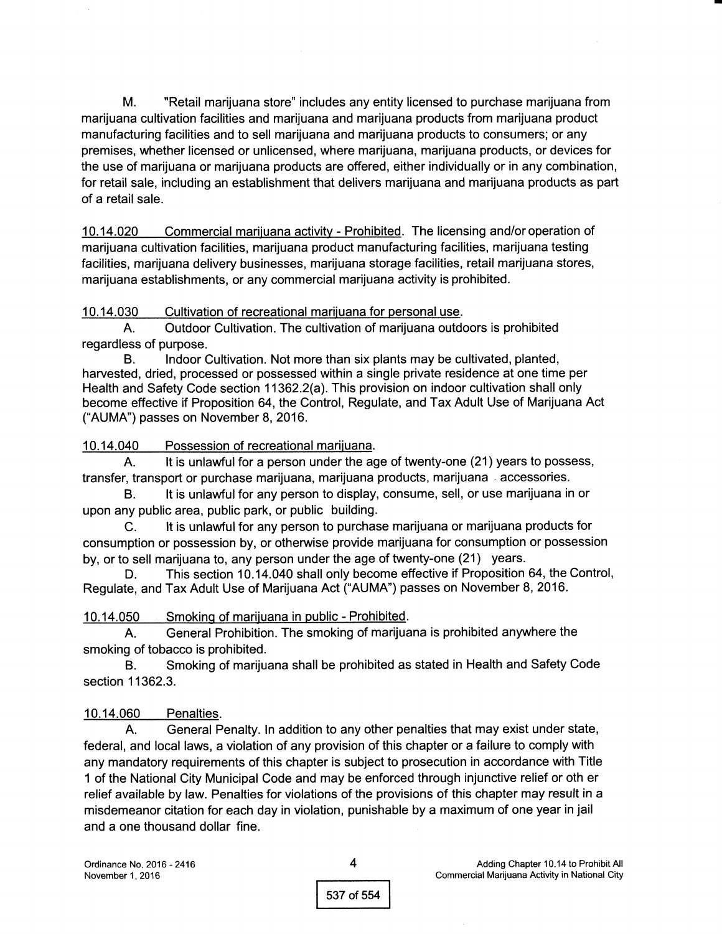M. "Retail marijuana store" includes any entity licensed to purchase marijuana from marijuana cultivation facilities and marijuana and marijuana products from marijuana product manufacturing facilities and to sell marijuana and marijuana products to consumers; or any premises, whether licensed or unlicensed, where marijuana, marijuana products, or devices for the use of marijuana or marijuana products are offered, either individually or in any combination, for retail sale, including an establishment that delivers marijuana and marijuana products as part of a retail sale.

10.14.020 Commercial mariiuana activity - Prohibited. The licensing and/oroperation of marijuana cultivation facilities, marijuana product manufacturing facilities, marijuana testing facilities, marijuana delivery businesses, marijuana storage facilities, retail marijuana stores, marijuana establishments, or any commercial marijuana activity is prohibited.

10.14.030 Cultivation of recreational mariiuana for personaluse.

A. Outdoor Cultivation. The cultivation of marijuana outdoors is prohibited regardless of purpose.

B. Indoor Cultivation. Not more than six plants may be cultivated, planted, harvested, dried, processed or possessed within a single private residence at one time per Health and Safety Code section 11362.2(a). This provision on indoor cultivation shall only become effective if Proposition 64, the Control, Regulate, and Tax Adult Use of Marijuana Act ("AUMA") passes on November 8, 2016.

10.14.040 Possession of recreational marijuana.

A. lt is unlawful for a person under the age of twenty-one (21) years to possess, transfer, transport or purchase marijuana, marijuana products, marijuana . accessories.

B. It is unlawful for any person to display, consume, sell, or use marijuana in or upon any public area, public park, or public building.

C. lt is unlaMulfor any person to purchase marijuana or marijuana products for consumption or possession by, or otherwise provide marijuana for consumption or possession by, or to sell marijuana to, any person under the age of twenty-one (21) years.

D. This section 10.14.040 shall only become effective if Proposition 64, the Control, Regulate, and Tax Adult Use of Marijuana Act ("AUMA") passes on November 8, 2016.

10.14.050 Smokinq of mariiuana in public - Prohibited.

A. General Prohibition. The smoking of marijuana is prohibited anywhere the smoking of tobacco is prohibited.

B. Smoking of marijuana shall be prohibited as stated in Health and Safety Code section 11362.3.

## 10.14.060 Penalties.

A. General Penalty. ln addition to any other penalties that may exist under state, federal, and local laws, a violation of any provision of this chapter or a failure to comply with any mandatory requirements of this chapter is subject to prosecution in accordance with Title 1 of the National City Municipal Code and may be enforced through injunctive relief or oth er relief available by law. Penalties for violations of the provisions of this chapter may result in a misdemeanor citation for each day in violation, punishable by a maximum of one year in jail and a one thousand dollar fine.